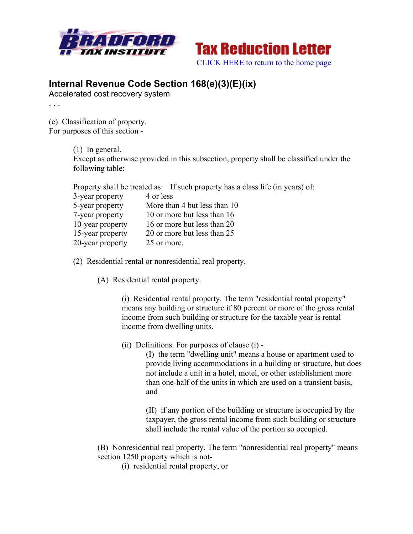



## **Internal Revenue Code Section 168(e)(3)(E)(ix)**

Accelerated cost recovery system

(e) Classification of property. For purposes of this section -

. . .

(1) In general. Except as otherwise provided in this subsection, property shall be classified under the following table:

|                  | Property shall be treated as: If such property has a class life (in years) of: |
|------------------|--------------------------------------------------------------------------------|
| 3-year property  | 4 or less                                                                      |
| 5-year property  | More than 4 but less than 10                                                   |
| 7-year property  | 10 or more but less than 16                                                    |
| 10-year property | 16 or more but less than 20                                                    |
| 15-year property | 20 or more but less than 25                                                    |
| 20-year property | 25 or more.                                                                    |

(2) Residential rental or nonresidential real property.

(A) Residential rental property.

(i) Residential rental property. The term "residential rental property" means any building or structure if 80 percent or more of the gross rental income from such building or structure for the taxable year is rental income from dwelling units.

(ii) Definitions. For purposes of clause (i) -

(I) the term "dwelling unit" means a house or apartment used to provide living accommodations in a building or structure, but does not include a unit in a hotel, motel, or other establishment more than one-half of the units in which are used on a transient basis, and

(II) if any portion of the building or structure is occupied by the taxpayer, the gross rental income from such building or structure shall include the rental value of the portion so occupied.

(B) Nonresidential real property. The term "nonresidential real property" means section 1250 property which is not-

(i) residential rental property, or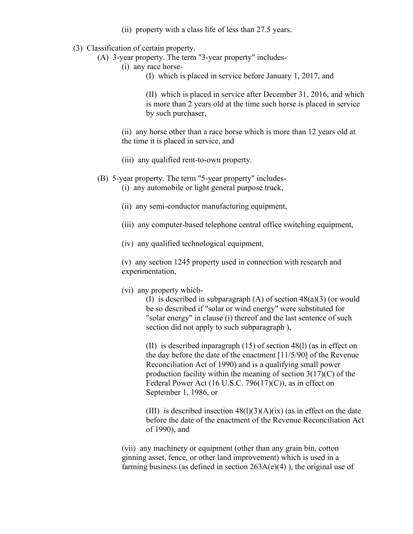- (ii) property with a class life of less than 27.5 years.
- (3) Classification of certain property.
	- (A) 3-year property. The term "3-year property" includes-
		- (i) any race horse-
			- (I) which is placed in service before January 1, 2017, and

(II) which is placed in service after December 31, 2016, and which is more than 2 years old at the time such horse is placed in service by such purchaser,

(ii) any horse other than a race horse which is more than 12 years old at the time it is placed in service, and

- (iii) any qualified rent-to-own property.
- (B) 5-year property. The term "5-year property" includes-
	- (i) any automobile or light general purpose truck,
	- (ii) any semi-conductor manufacturing equipment,
	- (iii) any computer-based telephone central office switching equipment,
	- (iv) any qualified technological equipment,

(v) any section 1245 property used in connection with research and experimentation,

(vi) any property which-

(I) is described in subparagraph (A) of section 48(a)(3) (or would be so described if "solar or wind energy" were substituted for "solar energy" in clause (i) thereof and the last sentence of such section did not apply to such subparagraph ),

(II) is described inparagraph (15) of section 48(l) (as in effect on the day before the date of the enactment [11/5/90] of the Revenue Reconciliation Act of 1990) and is a qualifying small power production facility within the meaning of section  $3(17)(C)$  of the Federal Power Act (16 U.S.C. 796(17)(C)), as in effect on September 1, 1986, or

(III) is described insection  $48(1)(3)(A)(ix)$  (as in effect on the date before the date of the enactment of the Revenue Reconciliation Act of 1990), and

(vii) any machinery or equipment (other than any grain bin, cotton ginning asset, fence, or other land improvement) which is used in a farming business (as defined in section  $263A(e)(4)$ ), the original use of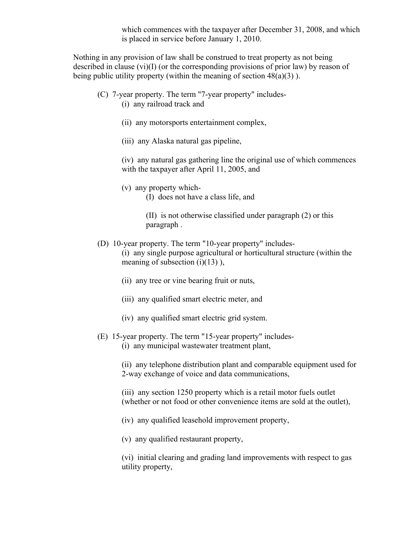which commences with the taxpayer after December 31, 2008, and which is placed in service before January 1, 2010.

Nothing in any provision of law shall be construed to treat property as not being described in clause (vi)(I) (or the corresponding provisions of prior law) by reason of being public utility property (within the meaning of section  $48(a)(3)$ ).

- (C) 7-year property. The term "7-year property" includes- (i) any railroad track and
	- (ii) any motorsports entertainment complex,
	- (iii) any Alaska natural gas pipeline,

(iv) any natural gas gathering line the original use of which commences with the taxpayer after April 11, 2005, and

- (v) any property which-
	- (I) does not have a class life, and
	- (II) is not otherwise classified under paragraph (2) or this paragraph .
- (D) 10-year property. The term "10-year property" includes- (i) any single purpose agricultural or horticultural structure (within the meaning of subsection  $(i)(13)$ ),
	- (ii) any tree or vine bearing fruit or nuts,
	- (iii) any qualified smart electric meter, and
	- (iv) any qualified smart electric grid system.
- (E) 15-year property. The term "15-year property" includes-
	- (i) any municipal wastewater treatment plant,

(ii) any telephone distribution plant and comparable equipment used for 2-way exchange of voice and data communications,

(iii) any section 1250 property which is a retail motor fuels outlet (whether or not food or other convenience items are sold at the outlet),

- (iv) any qualified leasehold improvement property,
- (v) any qualified restaurant property,

(vi) initial clearing and grading land improvements with respect to gas utility property,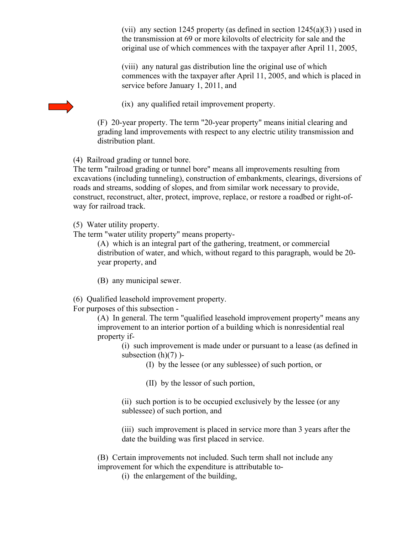(vii) any section 1245 property (as defined in section  $1245(a)(3)$ ) used in the transmission at 69 or more kilovolts of electricity for sale and the original use of which commences with the taxpayer after April 11, 2005,

(viii) any natural gas distribution line the original use of which commences with the taxpayer after April 11, 2005, and which is placed in service before January 1, 2011, and

(ix) any qualified retail improvement property.

(F) 20-year property. The term "20-year property" means initial clearing and grading land improvements with respect to any electric utility transmission and distribution plant.

(4) Railroad grading or tunnel bore.

The term "railroad grading or tunnel bore" means all improvements resulting from excavations (including tunneling), construction of embankments, clearings, diversions of roads and streams, sodding of slopes, and from similar work necessary to provide, construct, reconstruct, alter, protect, improve, replace, or restore a roadbed or right-ofway for railroad track.

(5) Water utility property.

The term "water utility property" means property-

(A) which is an integral part of the gathering, treatment, or commercial distribution of water, and which, without regard to this paragraph, would be 20 year property, and

(B) any municipal sewer.

(6) Qualified leasehold improvement property.

For purposes of this subsection -

(A) In general. The term "qualified leasehold improvement property" means any improvement to an interior portion of a building which is nonresidential real property if-

(i) such improvement is made under or pursuant to a lease (as defined in subsection  $(h)(7)$ )-

(I) by the lessee (or any sublessee) of such portion, or

(II) by the lessor of such portion,

(ii) such portion is to be occupied exclusively by the lessee (or any sublessee) of such portion, and

(iii) such improvement is placed in service more than 3 years after the date the building was first placed in service.

(B) Certain improvements not included. Such term shall not include any improvement for which the expenditure is attributable to-

(i) the enlargement of the building,

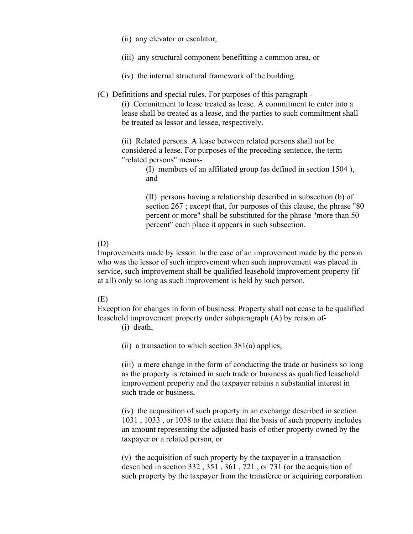- (ii) any elevator or escalator,
- (iii) any structural component benefitting a common area, or
- (iv) the internal structural framework of the building.
- (C) Definitions and special rules. For purposes of this paragraph -

(i) Commitment to lease treated as lease. A commitment to enter into a lease shall be treated as a lease, and the parties to such commitment shall be treated as lessor and lessee, respectively.

(ii) Related persons. A lease between related persons shall not be considered a lease. For purposes of the preceding sentence, the term "related persons" means-

> (I) members of an affiliated group (as defined in section 1504 ), and

(II) persons having a relationship described in subsection (b) of section 267 ; except that, for purposes of this clause, the phrase "80 percent or more" shall be substituted for the phrase "more than 50 percent" each place it appears in such subsection.

## (D)

Improvements made by lessor. In the case of an improvement made by the person who was the lessor of such improvement when such improvement was placed in service, such improvement shall be qualified leasehold improvement property (if at all) only so long as such improvement is held by such person.

## (E)

Exception for changes in form of business. Property shall not cease to be qualified leasehold improvement property under subparagraph (A) by reason of-

(i) death,

(ii) a transaction to which section  $381(a)$  applies,

(iii) a mere change in the form of conducting the trade or business so long as the property is retained in such trade or business as qualified leasehold improvement property and the taxpayer retains a substantial interest in such trade or business,

(iv) the acquisition of such property in an exchange described in section 1031 , 1033 , or 1038 to the extent that the basis of such property includes an amount representing the adjusted basis of other property owned by the taxpayer or a related person, or

(v) the acquisition of such property by the taxpayer in a transaction described in section 332 , 351 , 361 , 721 , or 731 (or the acquisition of such property by the taxpayer from the transferee or acquiring corporation